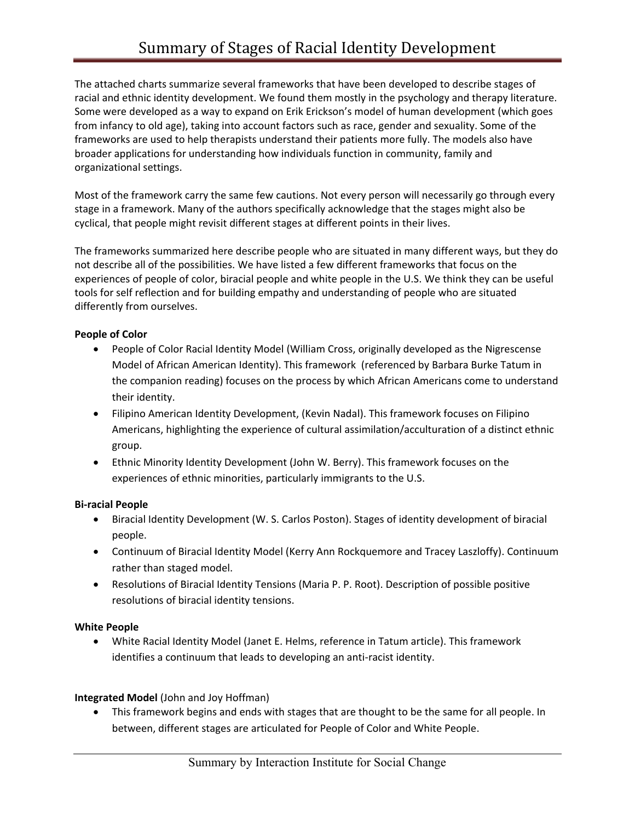The attached charts summarize several frameworks that have been developed to describe stages of racial and ethnic identity development. We found them mostly in the psychology and therapy literature. Some were developed as a way to expand on Erik Erickson's model of human development (which goes from infancy to old age), taking into account factors such as race, gender and sexuality. Some of the frameworks are used to help therapists understand their patients more fully. The models also have broader applications for understanding how individuals function in community, family and organizational settings.

Most of the framework carry the same few cautions. Not every person will necessarily go through every stage in a framework. Many of the authors specifically acknowledge that the stages might also be cyclical, that people might revisit different stages at different points in their lives.

The frameworks summarized here describe people who are situated in many different ways, but they do not describe all of the possibilities. We have listed a few different frameworks that focus on the experiences of people of color, biracial people and white people in the U.S. We think they can be useful tools for self reflection and for building empathy and understanding of people who are situated differently from ourselves.

# **People of Color**

- People of Color Racial Identity Model (William Cross, originally developed as the Nigrescense Model of African American Identity). This framework (referenced by Barbara Burke Tatum in the companion reading) focuses on the process by which African Americans come to understand their identity.
- Filipino American Identity Development, (Kevin Nadal). This framework focuses on Filipino Americans, highlighting the experience of cultural assimilation/acculturation of a distinct ethnic group.
- Ethnic Minority Identity Development (John W. Berry). This framework focuses on the experiences of ethnic minorities, particularly immigrants to the U.S.

#### **Bi-racial People**

- Biracial Identity Development (W. S. Carlos Poston). Stages of identity development of biracial people.
- Continuum of Biracial Identity Model (Kerry Ann Rockquemore and Tracey Laszloffy). Continuum rather than staged model.
- Resolutions of Biracial Identity Tensions (Maria P. P. Root). Description of possible positive resolutions of biracial identity tensions.

#### **White People**

 White Racial Identity Model (Janet E. Helms, reference in Tatum article). This framework identifies a continuum that leads to developing an anti-racist identity.

# **Integrated Model** (John and Joy Hoffman)

• This framework begins and ends with stages that are thought to be the same for all people. In between, different stages are articulated for People of Color and White People.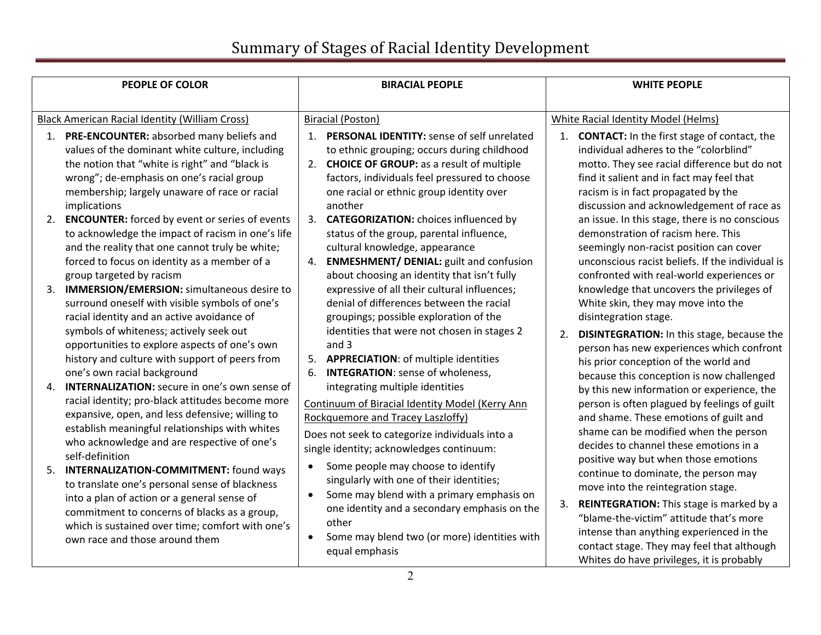| <b>PEOPLE OF COLOR</b>                                                                                                                                                                                                                                                                                                            | <b>BIRACIAL PEOPLE</b>                                                                                                                                                                                                                                                     | <b>WHITE PEOPLE</b>                                                                                                                                                                                                                                                                                     |
|-----------------------------------------------------------------------------------------------------------------------------------------------------------------------------------------------------------------------------------------------------------------------------------------------------------------------------------|----------------------------------------------------------------------------------------------------------------------------------------------------------------------------------------------------------------------------------------------------------------------------|---------------------------------------------------------------------------------------------------------------------------------------------------------------------------------------------------------------------------------------------------------------------------------------------------------|
|                                                                                                                                                                                                                                                                                                                                   |                                                                                                                                                                                                                                                                            |                                                                                                                                                                                                                                                                                                         |
| <b>Black American Racial Identity (William Cross)</b>                                                                                                                                                                                                                                                                             | <b>Biracial (Poston)</b>                                                                                                                                                                                                                                                   | <b>White Racial Identity Model (Helms)</b>                                                                                                                                                                                                                                                              |
| 1. PRE-ENCOUNTER: absorbed many beliefs and<br>values of the dominant white culture, including<br>the notion that "white is right" and "black is<br>wrong"; de-emphasis on one's racial group<br>membership; largely unaware of race or racial<br>implications                                                                    | 1. PERSONAL IDENTITY: sense of self unrelated<br>to ethnic grouping; occurs during childhood<br>2. CHOICE OF GROUP: as a result of multiple<br>factors, individuals feel pressured to choose<br>one racial or ethnic group identity over<br>another                        | 1. <b>CONTACT:</b> In the first stage of contact, the<br>individual adheres to the "colorblind"<br>motto. They see racial difference but do not<br>find it salient and in fact may feel that<br>racism is in fact propagated by the<br>discussion and acknowledgement of race as                        |
| <b>ENCOUNTER:</b> forced by event or series of events<br>2.<br>to acknowledge the impact of racism in one's life<br>and the reality that one cannot truly be white;<br>forced to focus on identity as a member of a<br>group targeted by racism<br><b>IMMERSION/EMERSION:</b> simultaneous desire to<br>3.                        | 3. <b>CATEGORIZATION:</b> choices influenced by<br>status of the group, parental influence,<br>cultural knowledge, appearance<br>4. ENMESHMENT/ DENIAL: guilt and confusion<br>about choosing an identity that isn't fully<br>expressive of all their cultural influences; | an issue. In this stage, there is no conscious<br>demonstration of racism here. This<br>seemingly non-racist position can cover<br>unconscious racist beliefs. If the individual is<br>confronted with real-world experiences or<br>knowledge that uncovers the privileges of                           |
| surround oneself with visible symbols of one's<br>racial identity and an active avoidance of<br>symbols of whiteness; actively seek out<br>opportunities to explore aspects of one's own<br>history and culture with support of peers from<br>one's own racial background<br><b>INTERNALIZATION:</b> secure in one's own sense of | denial of differences between the racial<br>groupings; possible exploration of the<br>identities that were not chosen in stages 2<br>and $3$<br>5. APPRECIATION: of multiple identities<br><b>INTEGRATION:</b> sense of wholeness,<br>6.                                   | White skin, they may move into the<br>disintegration stage.<br>DISINTEGRATION: In this stage, because the<br>2.<br>person has new experiences which confront<br>his prior conception of the world and<br>because this conception is now challenged                                                      |
| 4.<br>racial identity; pro-black attitudes become more<br>expansive, open, and less defensive; willing to<br>establish meaningful relationships with whites<br>who acknowledge and are respective of one's<br>self-definition<br><b>INTERNALIZATION-COMMITMENT:</b> found ways<br>5.                                              | integrating multiple identities<br>Continuum of Biracial Identity Model (Kerry Ann<br>Rockquemore and Tracey Laszloffy)<br>Does not seek to categorize individuals into a<br>single identity; acknowledges continuum:<br>Some people may choose to identify<br>$\bullet$   | by this new information or experience, the<br>person is often plagued by feelings of guilt<br>and shame. These emotions of guilt and<br>shame can be modified when the person<br>decides to channel these emotions in a<br>positive way but when those emotions<br>continue to dominate, the person may |
| to translate one's personal sense of blackness<br>into a plan of action or a general sense of<br>commitment to concerns of blacks as a group,<br>which is sustained over time; comfort with one's<br>own race and those around them                                                                                               | singularly with one of their identities;<br>Some may blend with a primary emphasis on<br>$\bullet$<br>one identity and a secondary emphasis on the<br>other<br>Some may blend two (or more) identities with<br>equal emphasis                                              | move into the reintegration stage.<br>REINTEGRATION: This stage is marked by a<br>3.<br>"blame-the-victim" attitude that's more<br>intense than anything experienced in the<br>contact stage. They may feel that although<br>Whites do have privileges, it is probably                                  |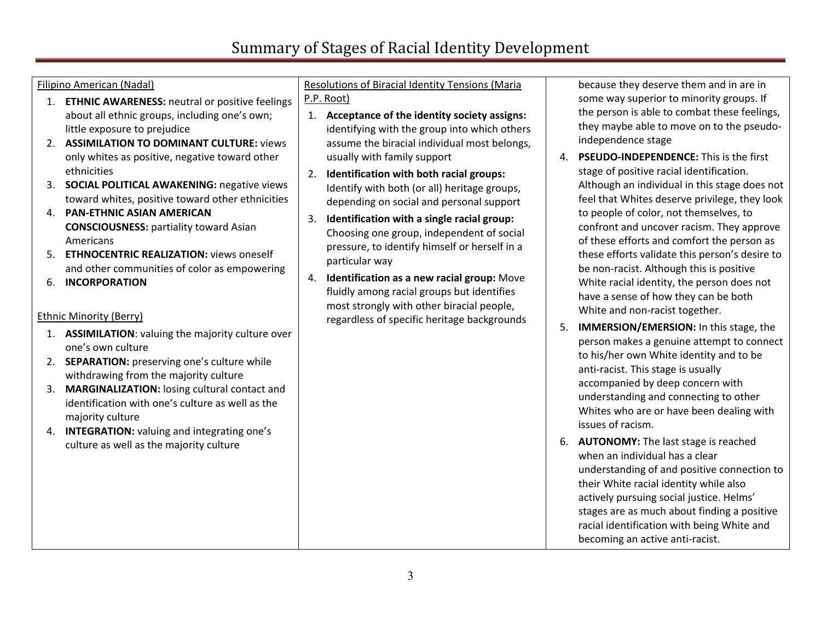### Filipino American (Nadal)

- 1. **ETHNIC AWARENESS:** neutral or positive feelings about all ethnic groups, including one's own; little exposure to prejudice
- 2. **ASSIMILATION TO DOMINANT CULTURE:** views only whites as positive, negative toward other ethnicities
- 3. **SOCIAL POLITICAL AWAKENING:** negative views toward whites, positive toward other ethnicities
- 4. **PAN-ETHNIC ASIAN AMERICAN CONSCIOUSNESS:** partiality toward Asian Americans
- 5. **ETHNOCENTRIC REALIZATION:** views oneself and other communities of color as empowering
- 6. **INCORPORATION**

## Ethnic Minority (Berry)

- 1. **ASSIMILATION**: valuing the majority culture over one's own culture
- 2. **SEPARATION:** preserving one's culture while withdrawing from the majority culture
- 3. **MARGINALIZATION:** losing cultural contact and identification with one's culture as well as the majority culture
- 4. **INTEGRATION:** valuing and integrating one's culture as well as the majority culture

#### Resolutions of Biracial Identity Tensions (Maria P.P. Root)

- 1. **Acceptance of the identity society assigns:**  identifying with the group into which others assume the biracial individual most belongs, usually with family support
- 2. **Identification with both racial groups:**  Identify with both (or all) heritage groups, depending on social and personal support
- 3. **Identification with a single racial group:** Choosing one group, independent of social pressure, to identify himself or herself in a particular way
- 4. **Identification as a new racial group:** Move fluidly among racial groups but identifies most strongly with other biracial people, regardless of specific heritage backgrounds

because they deserve them and in are in some way superior to minority groups. If the person is able to combat these feelings, they maybe able to move on to the pseudoindependence stage

- 4. **PSEUDO-INDEPENDENCE:** This is the first stage of positive racial identification. Although an individual in this stage does not feel that Whites deserve privilege, they look to people of color, not themselves, to confront and uncover racism. They approve of these efforts and comfort the person as these efforts validate this person's desire to be non-racist. Although this is positive White racial identity, the person does not have a sense of how they can be both White and non-racist together.
- 5. **IMMERSION/EMERSION:** In this stage, the person makes a genuine attempt to connect to his/her own White identity and to be anti-racist. This stage is usually accompanied by deep concern with understanding and connecting to other Whites who are or have been dealing with issues of racism.
- 6. **AUTONOMY:** The last stage is reached when an individual has a clear understanding of and positive connection to their White racial identity while also actively pursuing social justice. Helms' stages are as much about finding a positive racial identification with being White and becoming an active anti-racist.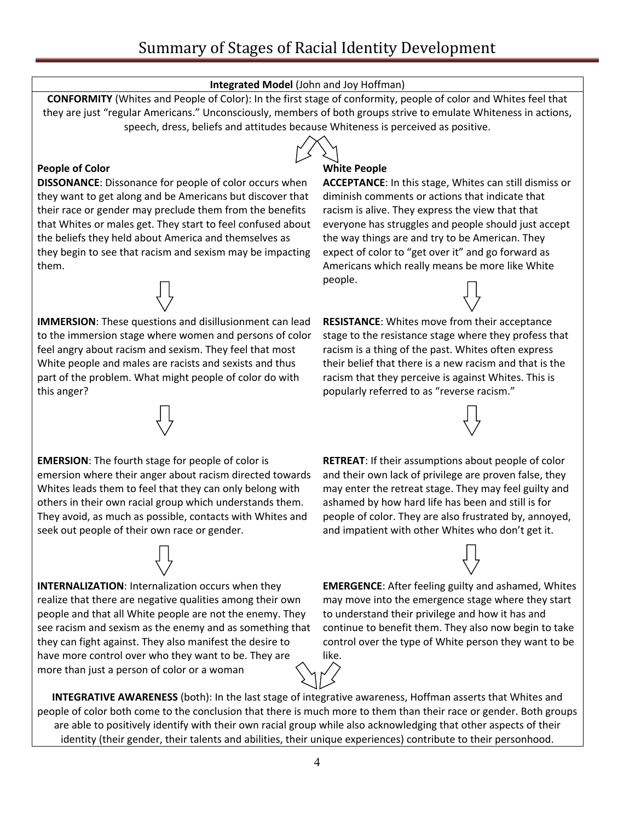## **Integrated Model** (John and Joy Hoffman)

**CONFORMITY** (Whites and People of Color): In the first stage of conformity, people of color and Whites feel that they are just "regular Americans." Unconsciously, members of both groups strive to emulate Whiteness in actions, speech, dress, beliefs and attitudes because Whiteness is perceived as positive.

## **People of Color**

**DISSONANCE**: Dissonance for people of color occurs when they want to get along and be Americans but discover that their race or gender may preclude them from the benefits that Whites or males get. They start to feel confused about the beliefs they held about America and themselves as they begin to see that racism and sexism may be impacting them.

**IMMERSION**: These questions and disillusionment can lead to the immersion stage where women and persons of color feel angry about racism and sexism. They feel that most White people and males are racists and sexists and thus part of the problem. What might people of color do with this anger?

#### **White People**

**ACCEPTANCE**: In this stage, Whites can still dismiss or diminish comments or actions that indicate that racism is alive. They express the view that that everyone has struggles and people should just accept the way things are and try to be American. They expect of color to "get over it" and go forward as Americans which really means be more like White people.

**RESISTANCE**: Whites move from their acceptance stage to the resistance stage where they profess that racism is a thing of the past. Whites often express their belief that there is a new racism and that is the racism that they perceive is against Whites. This is popularly referred to as "reverse racism."

**EMERSION**: The fourth stage for people of color is emersion where their anger about racism directed towards Whites leads them to feel that they can only belong with others in their own racial group which understands them. They avoid, as much as possible, contacts with Whites and seek out people of their own race or gender.

**INTERNALIZATION**: Internalization occurs when they realize that there are negative qualities among their own people and that all White people are not the enemy. They see racism and sexism as the enemy and as something that they can fight against. They also manifest the desire to have more control over who they want to be. They are more than just a person of color or a woman

**RETREAT**: If their assumptions about people of color and their own lack of privilege are proven false, they may enter the retreat stage. They may feel guilty and ashamed by how hard life has been and still is for people of color. They are also frustrated by, annoyed, and impatient with other Whites who don't get it.

**EMERGENCE**: After feeling guilty and ashamed, Whites may move into the emergence stage where they start to understand their privilege and how it has and continue to benefit them. They also now begin to take control over the type of White person they want to be like.

**INTEGRATIVE AWARENESS** (both): In the last stage of integrative awareness, Hoffman asserts that Whites and people of color both come to the conclusion that there is much more to them than their race or gender. Both groups are able to positively identify with their own racial group while also acknowledging that other aspects of their identity (their gender, their talents and abilities, their unique experiences) contribute to their personhood.